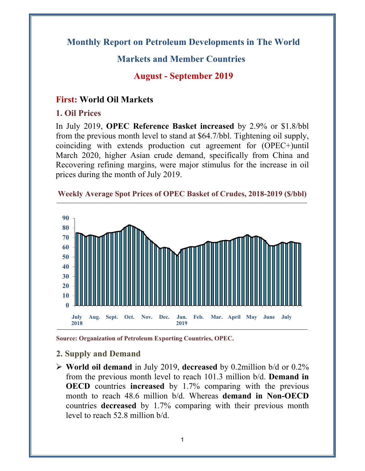# **Monthly Report on Petroleum Developments in The World**

# **Markets and Member Countries**

**August - September 2019** 

## **First: World Oil Markets**

#### **1. Oil Prices**

In July 2019, **OPEC Reference Basket increased** by 2.9% or \$1.8/bbl from the previous month level to stand at \$64.7/bbl. Tightening oil supply, coinciding with extends production cut agreement for (OPEC+)until March 2020, higher Asian crude demand, specifically from China and Recovering refining margins, were major stimulus for the increase in oil prices during the month of July 2019.



**Weekly Average Spot Prices of OPEC Basket of Crudes, 2018-2019 (\$/bbl)**

**Source: Organization of Petroleum Exporting Countries, OPEC.** 

### **2. Supply and Demand**

 **World oil demand** in July 2019, **decreased** by 0.2million b/d or 0.2% from the previous month level to reach 101.3 million b/d. **Demand in OECD** countries **increased** by 1.7% comparing with the previous month to reach 48.6 million b/d. Whereas **demand in Non-OECD** countries **decreased** by 1.7% comparing with their previous month level to reach 52.8 million b/d.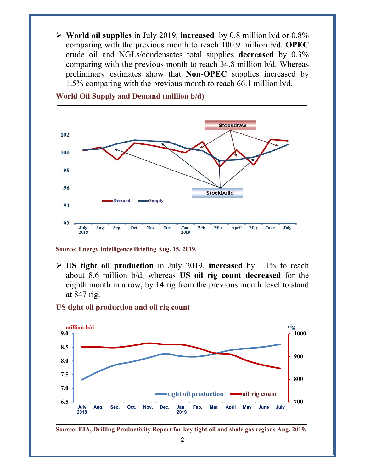**World oil supplies** in July 2019, **increased** by 0.8 million b/d or 0.8% comparing with the previous month to reach 100.9 million b/d. **OPEC** crude oil and NGLs/condensates total supplies **decreased** by 0.3% comparing with the previous month to reach 34.8 million b/d. Whereas preliminary estimates show that **Non-OPEC** supplies increased by 1.5% comparing with the previous month to reach 66.1 million b/d.



**World Oil Supply and Demand (million b/d)** 

**Source: Energy Intelligence Briefing Aug. 15, 2019.** 

 **US tight oil production** in July 2019, **increased** by 1.1% to reach about 8.6 million b/d, whereas **US oil rig count decreased** for the eighth month in a row, by 14 rig from the previous month level to stand at 847 rig.

#### **US tight oil production and oil rig count**



**Source: EIA, Drilling Productivity Report for key tight oil and shale gas regions Aug. 2019.**